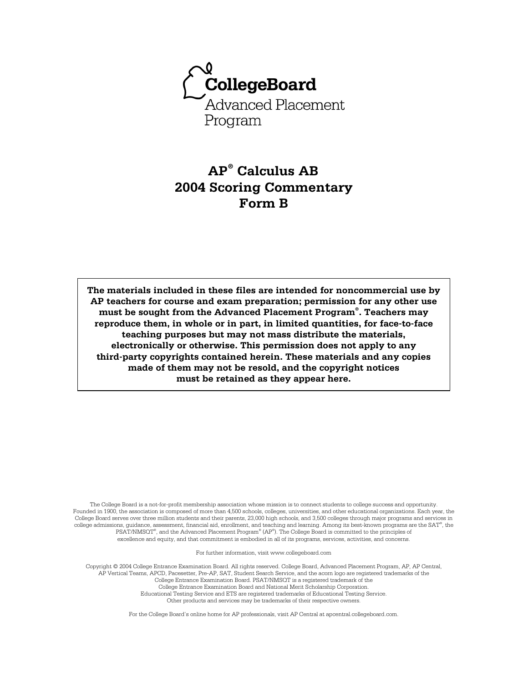

# **AP® Calculus AB 2004 Scoring Commentary Form B**

**The materials included in these files are intended for noncommercial use by AP teachers for course and exam preparation; permission for any other use must be sought from the Advanced Placement Program® . Teachers may reproduce them, in whole or in part, in limited quantities, for face-to-face teaching purposes but may not mass distribute the materials, electronically or otherwise. This permission does not apply to any third-party copyrights contained herein. These materials and any copies made of them may not be resold, and the copyright notices must be retained as they appear here.** 

The College Board is a not-for-profit membership association whose mission is to connect students to college success and opportunity. Founded in 1900, the association is composed of more than 4,500 schools, colleges, universities, and other educational organizations. Each year, the College Board serves over three million students and their parents, 23,000 high schools, and 3,500 colleges through major programs and services in college admissions, guidance, assessment, financial aid, enrollment, and teaching and learning. Among its best-known programs are the SAT®, the PSAT/NMSQT® , and the Advanced Placement Program® (AP® ). The College Board is committed to the principles of excellence and equity, and that commitment is embodied in all of its programs, services, activities, and concerns.

For further information, visit www.collegeboard.com

Copyright © 2004 College Entrance Examination Board. All rights reserved. College Board, Advanced Placement Program, AP, AP Central, AP Vertical Teams, APCD, Pacesetter, Pre-AP, SAT, Student Search Service, and the acorn logo are registered trademarks of the College Entrance Examination Board. PSAT/NMSQT is a registered trademark of the College Entrance Examination Board and National Merit Scholarship Corporation. Educational Testing Service and ETS are registered trademarks of Educational Testing Service. Other products and services may be trademarks of their respective owners.

For the College Board's online home for AP professionals, visit AP Central at apcentral.collegeboard.com.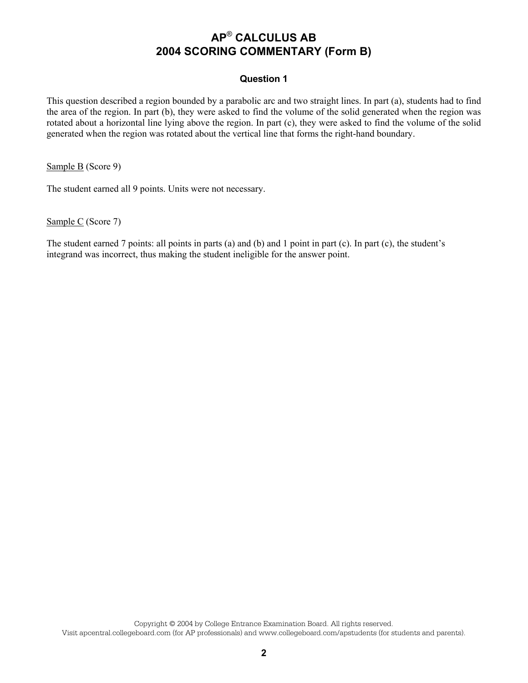### **Question 1**

This question described a region bounded by a parabolic arc and two straight lines. In part (a), students had to find the area of the region. In part (b), they were asked to find the volume of the solid generated when the region was rotated about a horizontal line lying above the region. In part (c), they were asked to find the volume of the solid generated when the region was rotated about the vertical line that forms the right-hand boundary.

Sample B (Score 9)

The student earned all 9 points. Units were not necessary.

Sample C (Score 7)

The student earned 7 points: all points in parts (a) and (b) and 1 point in part (c). In part (c), the student's integrand was incorrect, thus making the student ineligible for the answer point.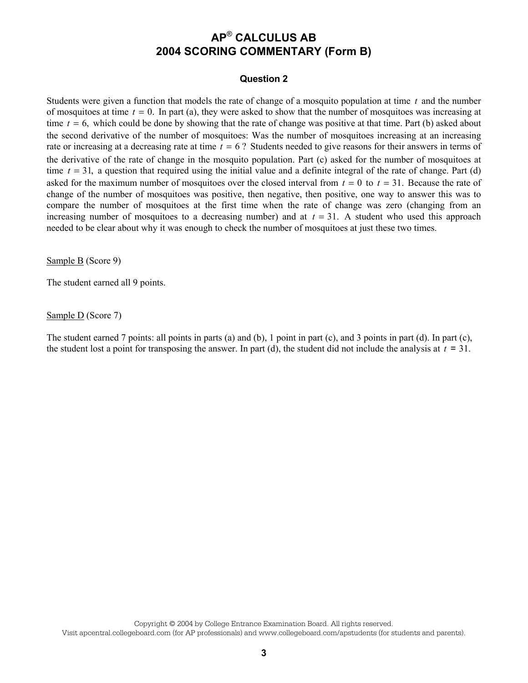### **Question 2**

Students were given a function that models the rate of change of a mosquito population at time *t* and the number of mosquitoes at time  $t = 0$ . In part (a), they were asked to show that the number of mosquitoes was increasing at time  $t = 6$ , which could be done by showing that the rate of change was positive at that time. Part (b) asked about the second derivative of the number of mosquitoes: Was the number of mosquitoes increasing at an increasing rate or increasing at a decreasing rate at time *t* = 6 ? Students needed to give reasons for their answers in terms of the derivative of the rate of change in the mosquito population. Part (c) asked for the number of mosquitoes at time  $t = 31$ , a question that required using the initial value and a definite integral of the rate of change. Part (d) asked for the maximum number of mosquitoes over the closed interval from  $t = 0$  to  $t = 31$ . Because the rate of change of the number of mosquitoes was positive, then negative, then positive, one way to answer this was to compare the number of mosquitoes at the first time when the rate of change was zero (changing from an increasing number of mosquitoes to a decreasing number) and at  $t = 31$ . A student who used this approach needed to be clear about why it was enough to check the number of mosquitoes at just these two times.

Sample B (Score 9)

The student earned all 9 points.

Sample  $D$  (Score 7)

The student earned 7 points: all points in parts (a) and (b), 1 point in part (c), and 3 points in part (d). In part (c), the student lost a point for transposing the answer. In part (d), the student did not include the analysis at  $t = 31$ .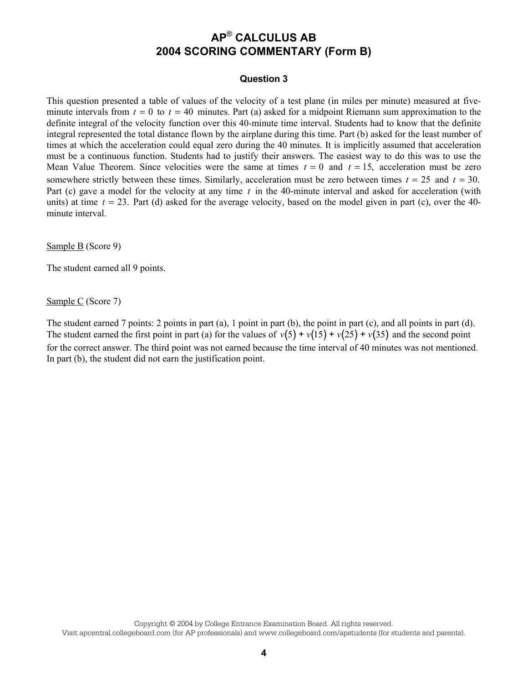### **Question 3**

This question presented a table of values of the velocity of a test plane (in miles per minute) measured at fiveminute intervals from  $t = 0$  to  $t = 40$  minutes. Part (a) asked for a midpoint Riemann sum approximation to the definite integral of the velocity function over this 40-minute time interval. Students had to know that the definite integral represented the total distance flown by the airplane during this time. Part (b) asked for the least number of times at which the acceleration could equal zero during the 40 minutes. It is implicitly assumed that acceleration must be a continuous function. Students had to justify their answers. The easiest way to do this was to use the Mean Value Theorem. Since velocities were the same at times  $t = 0$  and  $t = 15$ , acceleration must be zero somewhere strictly between these times. Similarly, acceleration must be zero between times  $t = 25$  and  $t = 30$ . Part (c) gave a model for the velocity at any time *t* in the 40-minute interval and asked for acceleration (with units) at time  $t = 23$ . Part (d) asked for the average velocity, based on the model given in part (c), over the 40minute interval.

Sample B (Score 9)

The student earned all 9 points.

Sample C (Score 7)

The student earned 7 points: 2 points in part (a), 1 point in part (b), the point in part (c), and all points in part (d). The student earned the first point in part (a) for the values of  $v(5) + v(15) + v(25) + v(35)$  and the second point for the correct answer. The third point was not earned because the time interval of 40 minutes was not mentioned. In part (b), the student did not earn the justification point.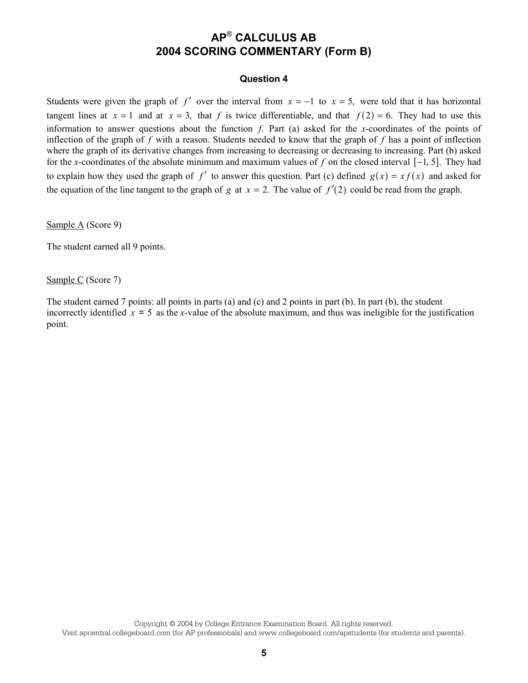#### **Question 4**

Students were given the graph of *f'* over the interval from  $x = -1$  to  $x = 5$ , were told that it has horizontal tangent lines at  $x = 1$  and at  $x = 3$ , that *f* is twice differentiable, and that  $f(2) = 6$ . They had to use this information to answer questions about the function *f*. Part (a) asked for the *x*-coordinates of the points of inflection of the graph of *f* with a reason. Students needed to know that the graph of *f* has a point of inflection where the graph of its derivative changes from increasing to decreasing or decreasing to increasing. Part (b) asked for the *x*-coordinates of the absolute minimum and maximum values of *f* on the closed interval [−1, 5]. They had to explain how they used the graph of  $f'$  to answer this question. Part (c) defined  $g(x) = xf(x)$  and asked for the equation of the line tangent to the graph of *g* at  $x = 2$ . The value of  $f'(2)$  could be read from the graph.

Sample A (Score 9)

The student earned all 9 points.

Sample C (Score 7)

The student earned 7 points: all points in parts (a) and (c) and 2 points in part (b). In part (b), the student incorrectly identified  $x = 5$  as the *x*-value of the absolute maximum, and thus was ineligible for the justification point.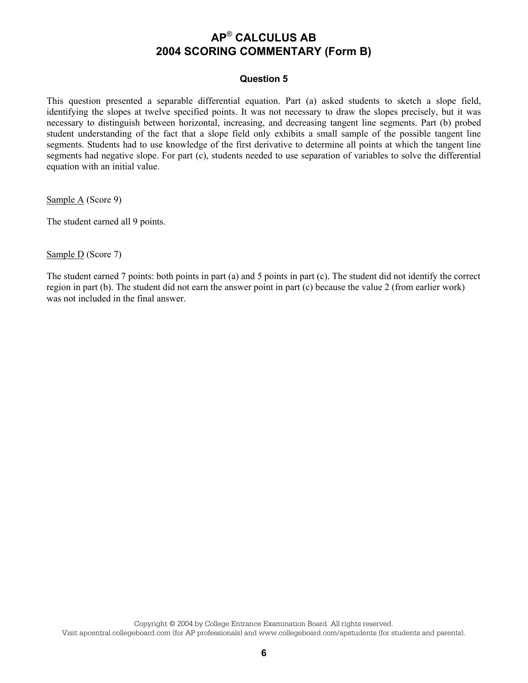### **Question 5**

This question presented a separable differential equation. Part (a) asked students to sketch a slope field, identifying the slopes at twelve specified points. It was not necessary to draw the slopes precisely, but it was necessary to distinguish between horizontal, increasing, and decreasing tangent line segments. Part (b) probed student understanding of the fact that a slope field only exhibits a small sample of the possible tangent line segments. Students had to use knowledge of the first derivative to determine all points at which the tangent line segments had negative slope. For part (c), students needed to use separation of variables to solve the differential equation with an initial value.

Sample A (Score 9)

The student earned all 9 points.

Sample D (Score 7)

The student earned 7 points: both points in part (a) and 5 points in part (c). The student did not identify the correct region in part (b). The student did not earn the answer point in part (c) because the value 2 (from earlier work) was not included in the final answer.